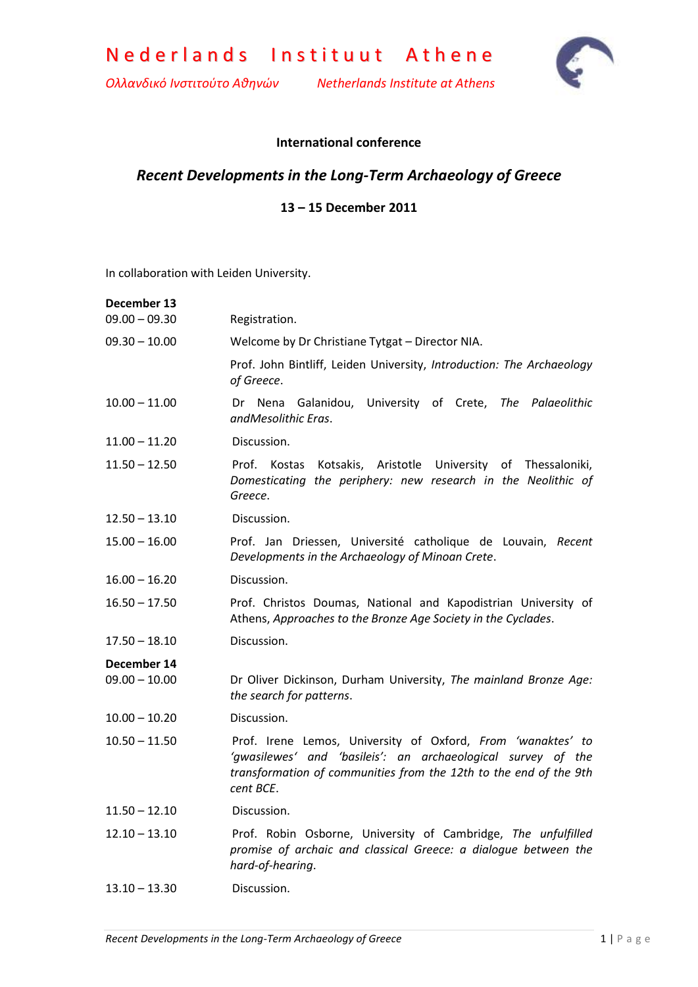

*Ολλανδικό Ινστιτούτο Αθηνών Netherlands Institute at Athens*



## **International conference**

## *Recent Developments in the Long-Term Archaeology of Greece*

## **13 – 15 December 2011**

In collaboration with Leiden University.

| December 13<br>$09.00 - 09.30$ | Registration.                                                                                                                                                                                                 |
|--------------------------------|---------------------------------------------------------------------------------------------------------------------------------------------------------------------------------------------------------------|
| $09.30 - 10.00$                | Welcome by Dr Christiane Tytgat - Director NIA.                                                                                                                                                               |
|                                | Prof. John Bintliff, Leiden University, Introduction: The Archaeology<br>of Greece.                                                                                                                           |
| $10.00 - 11.00$                | Nena<br>Galanidou, University of Crete,<br>The Palaeolithic<br>Dr<br>andMesolithic Eras.                                                                                                                      |
| $11.00 - 11.20$                | Discussion.                                                                                                                                                                                                   |
| $11.50 - 12.50$                | Prof. Kostas Kotsakis, Aristotle University of Thessaloniki,<br>Domesticating the periphery: new research in the Neolithic of<br>Greece.                                                                      |
| $12.50 - 13.10$                | Discussion.                                                                                                                                                                                                   |
| $15.00 - 16.00$                | Prof. Jan Driessen, Université catholique de Louvain, Recent<br>Developments in the Archaeology of Minoan Crete.                                                                                              |
| $16.00 - 16.20$                | Discussion.                                                                                                                                                                                                   |
| $16.50 - 17.50$                | Prof. Christos Doumas, National and Kapodistrian University of<br>Athens, Approaches to the Bronze Age Society in the Cyclades.                                                                               |
| $17.50 - 18.10$                | Discussion.                                                                                                                                                                                                   |
| December 14<br>$09.00 - 10.00$ | Dr Oliver Dickinson, Durham University, The mainland Bronze Age:<br>the search for patterns.                                                                                                                  |
| $10.00 - 10.20$                | Discussion.                                                                                                                                                                                                   |
| $10.50 - 11.50$                | Prof. Irene Lemos, University of Oxford, From 'wanaktes' to<br>'gwasilewes' and 'basileis': an archaeological survey of the<br>transformation of communities from the 12th to the end of the 9th<br>cent BCE. |
| $11.50 - 12.10$                | Discussion.                                                                                                                                                                                                   |
| $12.10 - 13.10$                | Prof. Robin Osborne, University of Cambridge, The unfulfilled<br>promise of archaic and classical Greece: a dialogue between the<br>hard-of-hearing.                                                          |
| $13.10 - 13.30$                | Discussion.                                                                                                                                                                                                   |